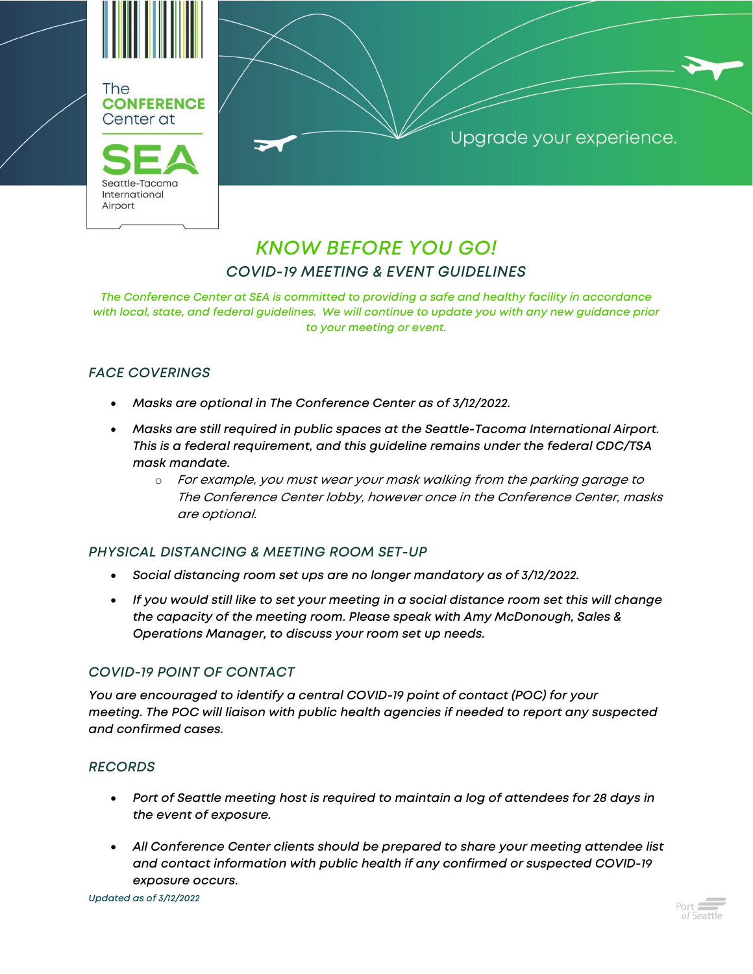

Upgrade your experience.

# *KNOW BEFORE YOU GO! COVID-19 MEETING & EVENT GUIDELINES*

*The Conference Center at SEA is committed to providing a safe and healthy facility in accordance with local, state, and federal guidelines. We will continue to update you with any new guidance prior to your meeting or event.*

## *FACE COVERINGS*

- *Masks are optional in The Conference Center as of 3/12/2022.*
- *Masks are still required in public spaces at the Seattle-Tacoma International Airport. This is a federal requirement, and this guideline remains under the federal CDC/TSA mask mandate.* 
	- o For example, you must wear your mask walking from the parking garage to The Conference Center lobby, however once in the Conference Center, masks are optional.

#### *PHYSICAL DISTANCING & MEETING ROOM SET-UP*

- *Social distancing room set ups are no longer mandatory as of 3/12/2022.*
- *If you would still like to set your meeting in a social distance room set this will change the capacity of the meeting room. Please speak with Amy McDonough, Sales & Operations Manager, to discuss your room set up needs.*

### *COVID-19 POINT OF CONTACT*

*You are encouraged to identify a central COVID-19 point of contact (POC) for your meeting. The POC will liaison with public health agencies if needed to report any suspected and confirmed cases.*

#### *RECORDS*

- *Port of Seattle meeting host is required to maintain a log of attendees for 28 days in the event of exposure.*
- *All Conference Center clients should be prepared to share your meeting attendee list and contact information with public health if any confirmed or suspected COVID-19 exposure occurs.*

*Updated as of 3/12/2022*